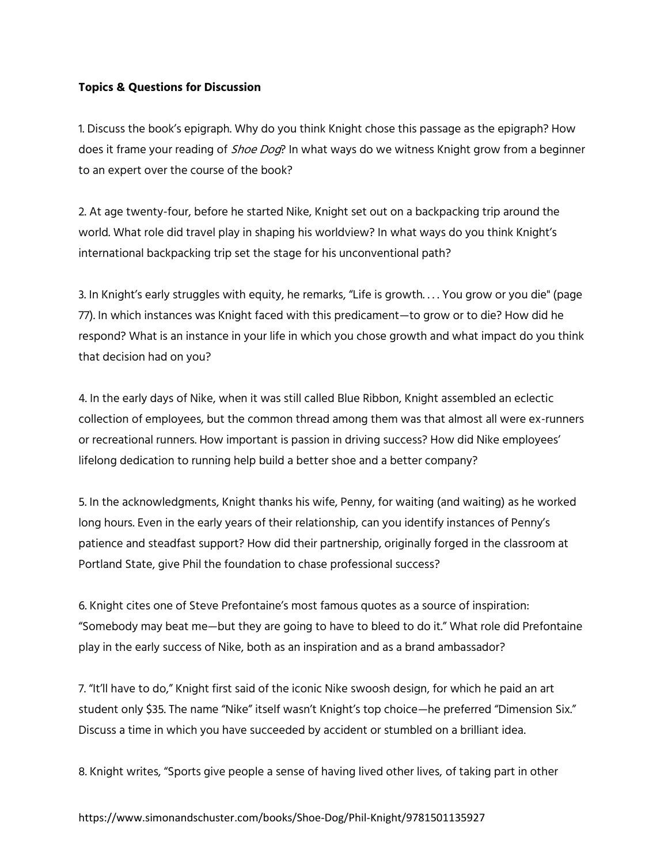## **Topics & Questions for Discussion**

1. Discuss the book's epigraph. Why do you think Knight chose this passage as the epigraph? How does it frame your reading of *Shoe Dog*? In what ways do we witness Knight grow from a beginner to an expert over the course of the book?

2. At age twenty-four, before he started Nike, Knight set out on a backpacking trip around the world. What role did travel play in shaping his worldview? In what ways do you think Knight's international backpacking trip set the stage for his unconventional path?

3. In Knight's early struggles with equity, he remarks, "Life is growth. . . . You grow or you die" (page 77). In which instances was Knight faced with this predicament—to grow or to die? How did he respond? What is an instance in your life in which you chose growth and what impact do you think that decision had on you?

4. In the early days of Nike, when it was still called Blue Ribbon, Knight assembled an eclectic collection of employees, but the common thread among them was that almost all were ex-runners or recreational runners. How important is passion in driving success? How did Nike employees' lifelong dedication to running help build a better shoe and a better company?

5. In the acknowledgments, Knight thanks his wife, Penny, for waiting (and waiting) as he worked long hours. Even in the early years of their relationship, can you identify instances of Penny's patience and steadfast support? How did their partnership, originally forged in the classroom at Portland State, give Phil the foundation to chase professional success?

6. Knight cites one of Steve Prefontaine's most famous quotes as a source of inspiration: "Somebody may beat me—but they are going to have to bleed to do it." What role did Prefontaine play in the early success of Nike, both as an inspiration and as a brand ambassador?

7. "It'll have to do," Knight first said of the iconic Nike swoosh design, for which he paid an art student only \$35. The name "Nike" itself wasn't Knight's top choice—he preferred "Dimension Six." Discuss a time in which you have succeeded by accident or stumbled on a brilliant idea.

8. Knight writes, "Sports give people a sense of having lived other lives, of taking part in other